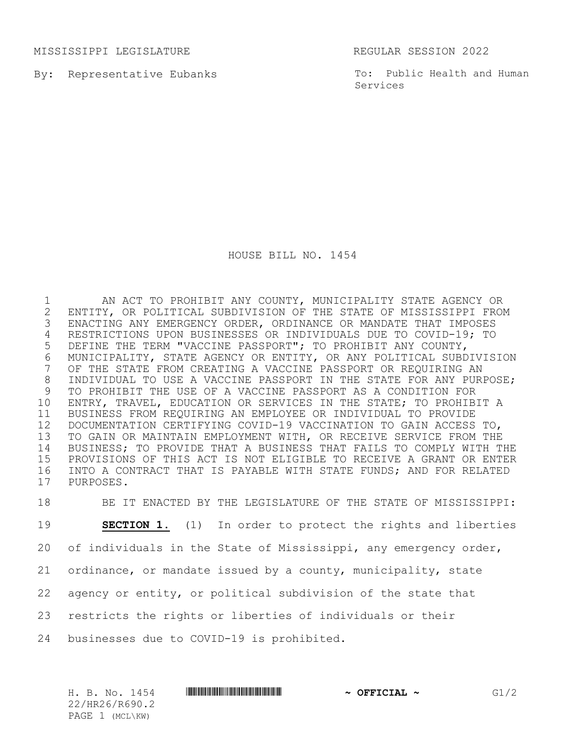MISSISSIPPI LEGISLATURE REGULAR SESSION 2022

By: Representative Eubanks

To: Public Health and Human Services

HOUSE BILL NO. 1454

 AN ACT TO PROHIBIT ANY COUNTY, MUNICIPALITY STATE AGENCY OR 2 ENTITY, OR POLITICAL SUBDIVISION OF THE STATE OF MISSISSIPPI FROM<br>3 ENACTING ANY EMERGENCY ORDER, ORDINANCE OR MANDATE THAT IMPOSES ENACTING ANY EMERGENCY ORDER, ORDINANCE OR MANDATE THAT IMPOSES RESTRICTIONS UPON BUSINESSES OR INDIVIDUALS DUE TO COVID-19; TO DEFINE THE TERM "VACCINE PASSPORT"; TO PROHIBIT ANY COUNTY, 6 MUNICIPALITY, STATE AGENCY OR ENTITY, OR ANY POLITICAL SUBDIVISION<br>7 OF THE STATE FROM CREATING A VACCINE PASSPORT OR REQUIRING AN OF THE STATE FROM CREATING A VACCINE PASSPORT OR REQUIRING AN INDIVIDUAL TO USE A VACCINE PASSPORT IN THE STATE FOR ANY PURPOSE; TO PROHIBIT THE USE OF A VACCINE PASSPORT AS A CONDITION FOR ENTRY, TRAVEL, EDUCATION OR SERVICES IN THE STATE; TO PROHIBIT A BUSINESS FROM REQUIRING AN EMPLOYEE OR INDIVIDUAL TO PROVIDE DOCUMENTATION CERTIFYING COVID-19 VACCINATION TO GAIN ACCESS TO, TO GAIN OR MAINTAIN EMPLOYMENT WITH, OR RECEIVE SERVICE FROM THE BUSINESS; TO PROVIDE THAT A BUSINESS THAT FAILS TO COMPLY WITH THE PROVISIONS OF THIS ACT IS NOT ELIGIBLE TO RECEIVE A GRANT OR ENTER INTO A CONTRACT THAT IS PAYABLE WITH STATE FUNDS; AND FOR RELATED PURPOSES.

 BE IT ENACTED BY THE LEGISLATURE OF THE STATE OF MISSISSIPPI: **SECTION 1.** (1) In order to protect the rights and liberties 20 of individuals in the State of Mississippi, any emergency order, ordinance, or mandate issued by a county, municipality, state agency or entity, or political subdivision of the state that restricts the rights or liberties of individuals or their businesses due to COVID-19 is prohibited.

H. B. No. 1454 \*HR26/R690.2\* **~ OFFICIAL ~** G1/2 22/HR26/R690.2 PAGE 1 (MCL\KW)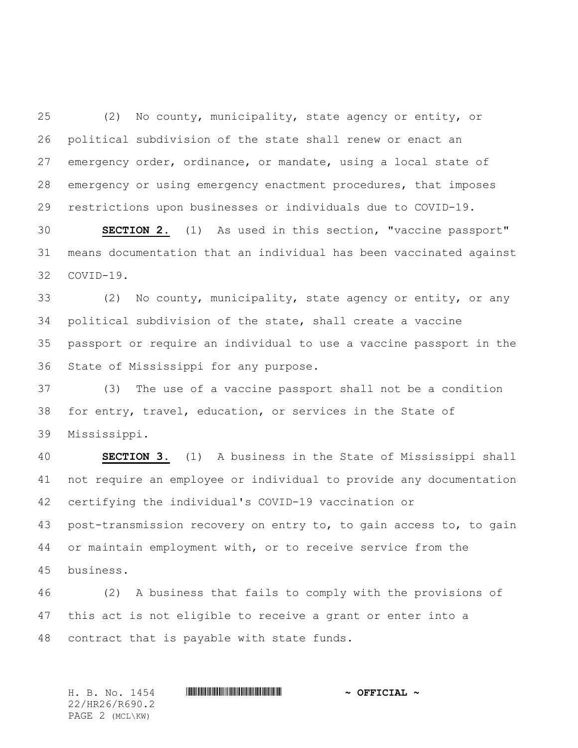(2) No county, municipality, state agency or entity, or political subdivision of the state shall renew or enact an emergency order, ordinance, or mandate, using a local state of emergency or using emergency enactment procedures, that imposes restrictions upon businesses or individuals due to COVID-19.

 **SECTION 2.** (1) As used in this section, "vaccine passport" means documentation that an individual has been vaccinated against COVID-19.

 (2) No county, municipality, state agency or entity, or any political subdivision of the state, shall create a vaccine passport or require an individual to use a vaccine passport in the State of Mississippi for any purpose.

 (3) The use of a vaccine passport shall not be a condition for entry, travel, education, or services in the State of Mississippi.

 **SECTION 3.** (1) A business in the State of Mississippi shall not require an employee or individual to provide any documentation certifying the individual's COVID-19 vaccination or post-transmission recovery on entry to, to gain access to, to gain or maintain employment with, or to receive service from the business.

 (2) A business that fails to comply with the provisions of this act is not eligible to receive a grant or enter into a contract that is payable with state funds.

H. B. No. 1454 \*HR26/R690.2\* **~ OFFICIAL ~** 22/HR26/R690.2 PAGE 2 (MCL\KW)